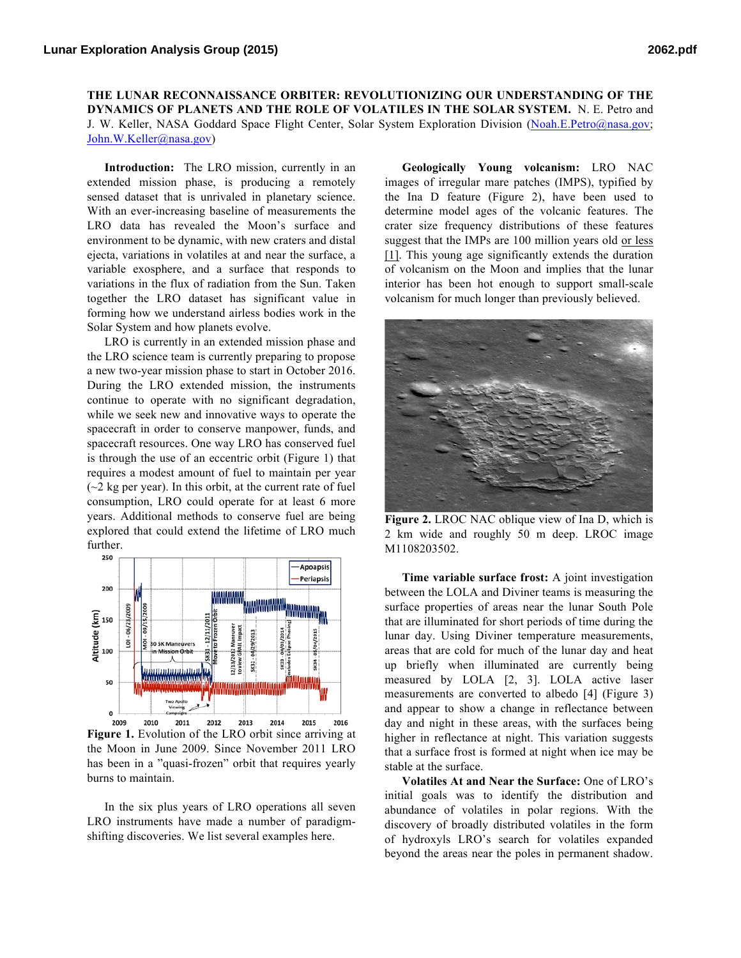**THE LUNAR RECONNAISSANCE ORBITER: REVOLUTIONIZING OUR UNDERSTANDING OF THE DYNAMICS OF PLANETS AND THE ROLE OF VOLATILES IN THE SOLAR SYSTEM.** N. E. Petro and J. W. Keller, NASA Goddard Space Flight Center, Solar System Exploration Division (Noah.E.Petro@nasa.gov; John.W.Keller@nasa.gov)

**Introduction:** The LRO mission, currently in an extended mission phase, is producing a remotely sensed dataset that is unrivaled in planetary science. With an ever-increasing baseline of measurements the LRO data has revealed the Moon's surface and environment to be dynamic, with new craters and distal ejecta, variations in volatiles at and near the surface, a variable exosphere, and a surface that responds to variations in the flux of radiation from the Sun. Taken together the LRO dataset has significant value in forming how we understand airless bodies work in the Solar System and how planets evolve.

LRO is currently in an extended mission phase and the LRO science team is currently preparing to propose a new two-year mission phase to start in October 2016. During the LRO extended mission, the instruments continue to operate with no significant degradation, while we seek new and innovative ways to operate the spacecraft in order to conserve manpower, funds, and spacecraft resources. One way LRO has conserved fuel is through the use of an eccentric orbit (Figure 1) that requires a modest amount of fuel to maintain per year  $\sim$ 2 kg per year). In this orbit, at the current rate of fuel consumption, LRO could operate for at least 6 more years. Additional methods to conserve fuel are being explored that could extend the lifetime of LRO much further.



**Figure 1.** Evolution of the LRO orbit since arriving at the Moon in June 2009. Since November 2011 LRO has been in a "quasi-frozen" orbit that requires yearly burns to maintain.

In the six plus years of LRO operations all seven LRO instruments have made a number of paradigmshifting discoveries. We list several examples here.

**Geologically Young volcanism:** LRO NAC images of irregular mare patches (IMPS), typified by the Ina D feature (Figure 2), have been used to determine model ages of the volcanic features. The crater size frequency distributions of these features suggest that the IMPs are 100 million years old or less [1]. This young age significantly extends the duration of volcanism on the Moon and implies that the lunar interior has been hot enough to support small-scale volcanism for much longer than previously believed.



**Figure 2.** LROC NAC oblique view of Ina D, which is 2 km wide and roughly 50 m deep. LROC image M1108203502.

**Time variable surface frost:** A joint investigation between the LOLA and Diviner teams is measuring the surface properties of areas near the lunar South Pole that are illuminated for short periods of time during the lunar day. Using Diviner temperature measurements, areas that are cold for much of the lunar day and heat up briefly when illuminated are currently being measured by LOLA [2, 3]. LOLA active laser measurements are converted to albedo [4] (Figure 3) and appear to show a change in reflectance between day and night in these areas, with the surfaces being higher in reflectance at night. This variation suggests that a surface frost is formed at night when ice may be stable at the surface.

**Volatiles At and Near the Surface:** One of LRO's initial goals was to identify the distribution and abundance of volatiles in polar regions. With the discovery of broadly distributed volatiles in the form of hydroxyls LRO's search for volatiles expanded beyond the areas near the poles in permanent shadow.